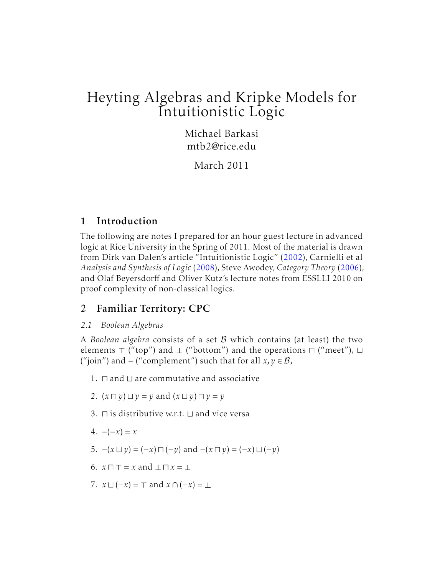# Heyting Algebras and Kripke Models for Intuitionistic Logic

Michael Barkasi mtb2@rice.edu

March 2011

# 1 Introduction

The following are notes I prepared for an hour guest lecture in advanced logic at Rice University in the Spring of 2011. Most of the material is drawn from Dirk van Dalen's article "Intuitionistic Logic" [\(2002\)](#page-9-0), Carnielli et al *Analysis and Synthesis of Logic* [\(2008\)](#page-9-1), Steve Awodey, *Category Theory* [\(2006\)](#page-9-2), and Olaf Beyersdorff and Oliver Kutz's lecture notes from ESSLLI 2010 on proof complexity of non-classical logics.

# 2 Familiar Territory: CPC

# *2.1 Boolean Algebras*

A *Boolean algebra* consists of a set B which contains (at least) the two elements  $\top$  ("top") and  $\bot$  ("bottom") and the operations  $\sqcap$  ("meet"),  $\sqcup$ ("join") and − ("complement") such that for all *x,y* ∈ B,

- 1.  $\sqcap$  and  $\sqcup$  are commutative and associative
- 2.  $(x \sqcap y) \sqcup y = y$  and  $(x \sqcup y) \sqcap y = y$
- 3.  $\Box$  is distributive w.r.t.  $\Box$  and vice versa
- 4.  $-(-x) = x$
- 5.  $-(x \sqcup y) = (-x) \sqcap (-y)$  and  $-(x \sqcap y) = (-x) \sqcup (-y)$
- 6.  $x \sqcap \top = x$  and  $\bot \sqcap x = \bot$
- 7.  $x \sqcup (-x) = \top$  and  $x \cap (-x) = \bot$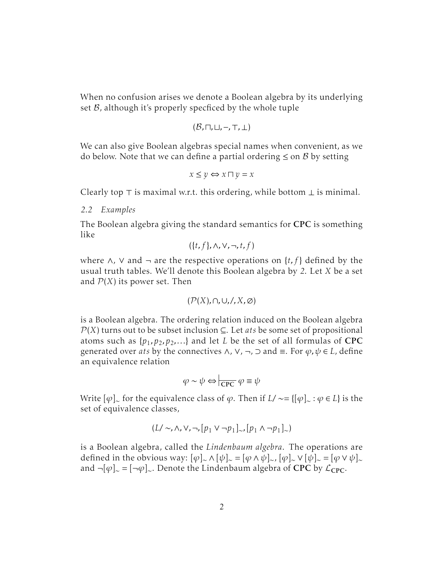When no confusion arises we denote a Boolean algebra by its underlying set  $\beta$ , although it's properly specficed by the whole tuple

$$
(\mathcal{B},\sqcap,\sqcup,-,\top,\bot)
$$

We can also give Boolean algebras special names when convenient, as we do below. Note that we can define a partial ordering  $\leq$  on  $\beta$  by setting

$$
x \le y \Leftrightarrow x \sqcap y = x
$$

Clearly top  $\top$  is maximal w.r.t. this ordering, while bottom  $\bot$  is minimal.

#### *2.2 Examples*

The Boolean algebra giving the standard semantics for CPC is something like

$$
(\{t,f\}, \wedge, \vee, \neg, t, f)
$$

where ∧, ∨ and ¬ are the respective operations on {*t, f* } defined by the usual truth tables. We'll denote this Boolean algebra by *2*. Let *X* be a set and  $P(X)$  its power set. Then

$$
(\mathcal{P}(X), \cap, \cup, \mathcal{A}, X, \emptyset)
$$

is a Boolean algebra. The ordering relation induced on the Boolean algebra P(*X*) turns out to be subset inclusion ⊆. Let *ats* be some set of propositional atoms such as  $\{p_1, p_2, p_2, ...\}$  and let *L* be the set of all formulas of CPC generated over *ats* by the connectives ∧, ∨, ¬, ⊃ and ≡. For *ϕ,ψ* ∈ *L*, define an equivalence relation

$$
\varphi \sim \psi \Leftrightarrow \boxed{\text{CPC}} \varphi \equiv \psi
$$

Write [*ϕ*]<sup>∼</sup> for the equivalence class of *ϕ*. Then if *L/* ∼= {[*ϕ*]<sup>∼</sup> : *ϕ* ∈ *L*} is the set of equivalence classes,

$$
(L/\sim,\wedge,\vee,\neg,[p_1\vee \neg p_1]_{\sim},[p_1\wedge \neg p_1]_{\sim})
$$

is a Boolean algebra, called the *Lindenbaum algebra*. The operations are defined in the obvious way:  $[\varphi]_{\sim} \wedge [\psi]_{\sim} = [\varphi \wedge \psi]_{\sim}$ ,  $[\varphi]_{\sim} \vee [\psi]_{\sim} = [\varphi \vee \psi]_{\sim}$ and ¬[ $\varphi$ ]<sub>∼</sub> = [¬ $\varphi$ ]<sub>∼</sub>. Denote the Lindenbaum algebra of **CPC** by  $\mathcal{L}_{\text{CPC}}$ .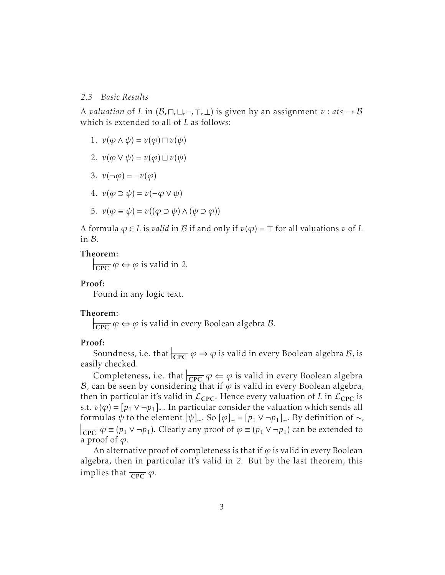#### *2.3 Basic Results*

A *valuation* of *L* in  $(\beta, \Pi, \Pi, -, \top, \bot)$  is given by an assignment *v* : *ats*  $\rightarrow \beta$ which is extended to all of *L* as follows:

- 1.  $v(\varphi \wedge \psi) = v(\varphi) \sqcap v(\psi)$
- 2.  $v(\varphi \vee \psi) = v(\varphi) \sqcup v(\psi)$
- 3.  $v(\neg \varphi) = -v(\varphi)$
- 4.  $v(\varphi \supset \psi) = v(\neg \varphi \vee \psi)$
- 5.  $v(\varphi \equiv \psi) = v((\varphi \supset \psi) \wedge (\psi \supset \varphi))$

A formula  $\varphi \in L$  is *valid* in B if and only if  $v(\varphi) = \tau$  for all valuations *v* of L in B.

#### Theorem:

 $\sqrt{\frac{\text{CPC}}{\text{CPC}}} \varphi \Leftrightarrow \varphi$  is valid in 2.

#### Proof:

Found in any logic text.

#### Theorem:

 $\overline{\mathcal{C}P}$   $\varphi \Leftrightarrow \varphi$  is valid in every Boolean algebra B.

#### Proof:

Soundness, i.e. that  $\frac{\partial \phi}{\partial x} \varphi \Rightarrow \varphi$  is valid in every Boolean algebra *B*, is easily checked.

Completeness, i.e. that  $\sqrt{\overline{CPC}} \varphi \Leftarrow \varphi$  is valid in every Boolean algebra B, can be seen by considering that if  $\varphi$  is valid in every Boolean algebra, then in particular it's valid in  $\mathcal{L}_{\text{CPC}}$ . Hence every valuation of *L* in  $\mathcal{L}_{\text{CPC}}$  is s.t. *v*( $\varphi$ ) = [*p*<sub>1</sub> ∨ ¬*p*<sub>1</sub>]<sub>∼</sub>. In particular consider the valuation which sends all formulas  $\psi$  to the element  $[\psi]_{\sim}$ . So  $[\varphi]_{\sim} = [p_1 \vee \neg p_1]_{\sim}$ . By definition of  $\sim$ ,  $\overline{\text{CPC}}$   $\varphi$  = ( $p_1 \vee \neg p_1$ ). Clearly any proof of  $\varphi$  = ( $p_1 \vee \neg p_1$ ) can be extended to a proof of  $\varphi$ .

An alternative proof of completeness is that if  $\varphi$  is valid in every Boolean algebra, then in particular it's valid in *2*. But by the last theorem, this implies that  $\vert_{\text{CPC}} \varphi$ .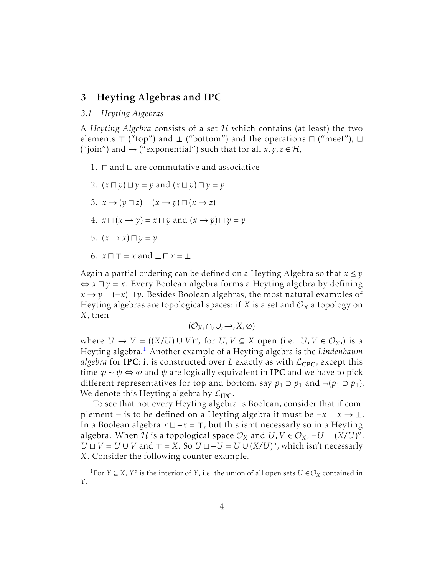### 3 Heyting Algebras and IPC

#### *3.1 Heyting Algebras*

A *Heyting Algebra* consists of a set H which contains (at least) the two elements  $\top$  ("top") and  $\bot$  ("bottom") and the operations  $\sqcap$  ("meet"),  $\sqcup$ ("join") and  $\rightarrow$  ("exponential") such that for all *x*, *y*, *z*  $\in$  *H*,

- 1.  $\sqcap$  and  $\sqcup$  are commutative and associative
- 2.  $(x \sqcap y) \sqcup y = y$  and  $(x \sqcup y) \sqcap y = y$
- 3.  $x \rightarrow (y \sqcap z) = (x \rightarrow y) \sqcap (x \rightarrow z)$
- 4.  $x \sqcap (x \rightarrow y) = x \sqcap y$  and  $(x \rightarrow y) \sqcap y = y$
- 5.  $(x \rightarrow x) \sqcap y = y$
- 6.  $x \sqcap \top = x$  and  $\bot \sqcap x = \bot$

Again a partial ordering can be defined on a Heyting Algebra so that *x* ≤ *y*  $\Leftrightarrow$  *x*  $\sqcap$  *y* = *x*. Every Boolean algebra forms a Heyting algebra by defining *x* → *y* =  $(-x)$   $\sqcup$  *y*. Besides Boolean algebras, the most natural examples of Heyting algebras are topological spaces: if *X* is a set and  $\mathcal{O}_X$  a topology on *X*, then

$$
(\mathcal{O}_X,\cap,\cup,\to,X,\varnothing)
$$

where *U* → *V* =  $((X/U) ∪ V)°$ , for *U*, *V* ⊆ *X* open (i.e. *U*, *V* ∈  $\mathcal{O}_X$ ), is a Heyting algebra.[1](#page-3-0) Another example of a Heyting algebra is the *Lindenbaum algebra* for IPC: it is constructed over *L* exactly as with  $\mathcal{L}_{CPC}$ , except this time  $\varphi \sim \psi \Leftrightarrow \varphi$  and  $\psi$  are logically equivalent in **IPC** and we have to pick different representatives for top and bottom, say  $p_1 \supset p_1$  and  $\neg (p_1 \supset p_1)$ . We denote this Heyting algebra by  $\mathcal{L}_{\text{IPC}}$ .

To see that not every Heyting algebra is Boolean, consider that if complement − is to be defined on a Heyting algebra it must be −*x* = *x* → ⊥. In a Boolean algebra  $x \sqcup -x = \top$ , but this isn't necessarly so in a Heyting algebra. When  $\mathcal{H}$  is a topological space  $\mathcal{O}_X$  and  $U$ ,  $V \in \mathcal{O}_X$ ,  $-U = (X/U)^{\circ}$ , *U*  $\cup$  *V* = *U*  $\cup$  *V* and  $\top$  = *X*. So *U*  $\cup$  −*U* = *U*  $\cup$  (*X/U*)<sup>°</sup>, which isn't necessarly *X*. Consider the following counter example.

<span id="page-3-0"></span><sup>&</sup>lt;sup>1</sup>For *Y*  $\subseteq$  *X*, *Y*<sup>°</sup> is the interior of *Y*, i.e. the union of all open sets  $U \in \mathcal{O}_X$  contained in *Y* .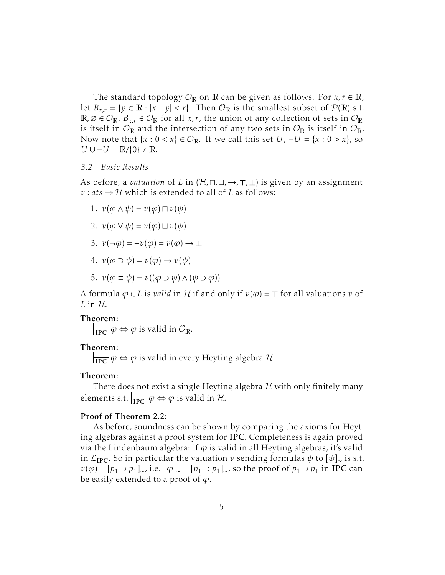The standard topology  $\mathcal{O}_\mathbb{R}$  on  $\mathbb R$  can be given as follows. For  $x, r \in \mathbb{R}$ , let  $B_{x,r} = \{y \in \mathbb{R} : |x - y| < r\}$ . Then  $\mathcal{O}_{\mathbb{R}}$  is the smallest subset of  $\mathcal{P}(\mathbb{R})$  s.t. R,  $\emptyset \in \mathcal{O}_{\mathbb{R}}$ ,  $B_{x,r} \in \mathcal{O}_{\mathbb{R}}$  for all *x*, *r*, the union of any collection of sets in  $\mathcal{O}_{\mathbb{R}}$ is itself in  $\mathcal{O}_\mathbb{R}$  and the intersection of any two sets in  $\mathcal{O}_\mathbb{R}$  is itself in  $\mathcal{O}_\mathbb{R}$ . Now note that  $\{x : 0 < x\} \in \mathcal{O}_{\mathbb{R}}$ . If we call this set *U*,  $-U = \{x : 0 > x\}$ , so  $U \cup -U = \mathbb{R}/\{0\} \neq \mathbb{R}.$ 

#### *3.2 Basic Results*

As before, a *valuation* of *L* in  $(H,\Pi,\sqcup,\rightarrow,\top,\bot)$  is given by an assignment  $v:$  *ats*  $\rightarrow$  *H* which is extended to all of *L* as follows:

- 1.  $v(\varphi \wedge \psi) = v(\varphi) \sqcap v(\psi)$
- 2.  $v(\varphi \vee \psi) = v(\varphi) \sqcup v(\psi)$
- 3.  $v(\neg \varphi) = -v(\varphi) = v(\varphi) \rightarrow \bot$
- $4. \ v(\varphi \supset \psi) = v(\varphi) \rightarrow v(\psi)$
- 5.  $v(\varphi \equiv \psi) = v((\varphi \supset \psi) \wedge (\psi \supset \varphi))$

A formula  $\varphi \in L$  is *valid* in H if and only if  $v(\varphi) = \top$  for all valuations *v* of *L* in  $H$ .

#### Theorem:

 $\overline{\text{IPC}} \varphi \Leftrightarrow \varphi$  is valid in  $\mathcal{O}_{\mathbb{R}}$ .

#### Theorem:

 $\vert_{\overline{\text{IPC}}}\varphi \Leftrightarrow \varphi$  is valid in every Heyting algebra *H*.

#### Theorem:

There does not exist a single Heyting algebra  $H$  with only finitely many elements s.t.  $\frac{1}{\text{IPC}} \varphi \Leftrightarrow \varphi$  is valid in  $\mathcal{H}$ .

#### Proof of Theorem 2.2:

As before, soundness can be shown by comparing the axioms for Heyting algebras against a proof system for IPC. Completeness is again proved via the Lindenbaum algebra: if  $\varphi$  is valid in all Heyting algebras, it's valid in  $\mathcal{L}_{\text{IPC}}$ . So in particular the valuation *v* sending formulas  $\psi$  to  $[\psi]_{\sim}$  is s.t. *v*( $\varphi$ ) = [*p*<sub>1</sub> ⊃ *p*<sub>1</sub>]<sub>∼</sub>, i.e. [ $\varphi$ ]<sub>∼</sub> = [*p*<sub>1</sub> ⊃ *p*<sub>1</sub>]<sub>∼</sub>, so the proof of *p*<sub>1</sub> ⊃ *p*<sub>1</sub> in **IPC** can be easily extended to a proof of *ϕ*.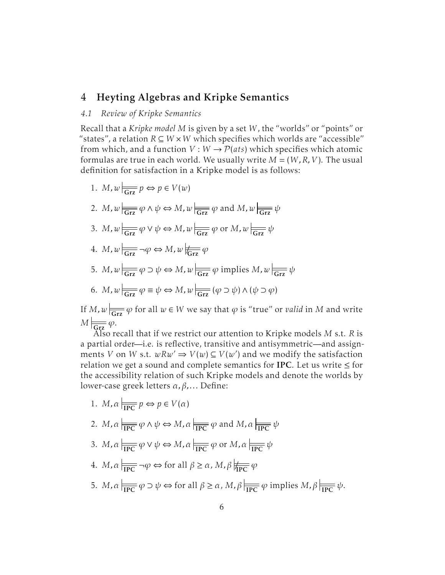# 4 Heyting Algebras and Kripke Semantics

#### *4.1 Review of Kripke Semantics*

Recall that a *Kripke model M* is given by a set *W* , the "worlds" or "points" or "states", a relation  $R \subseteq W \times W$  which specifies which worlds are "accessible" from which, and a function  $V : W \rightarrow \mathcal{P}(ats)$  which specifies which atomic formulas are true in each world. We usually write  $M = (W, R, V)$ . The usual definition for satisfaction in a Kripke model is as follows:

1. 
$$
M, w \rvert_{\overline{\text{Grz}}} p \Leftrightarrow p \in V(w)
$$
  
\n2.  $M, w \rvert_{\overline{\text{Grz}}} \varphi \land \psi \Leftrightarrow M, w \rvert_{\overline{\text{Grz}}} \varphi \text{ and } M, w \rvert_{\overline{\text{Grz}}} \psi$   
\n3.  $M, w \rvert_{\overline{\text{Grz}}} \varphi \lor \psi \Leftrightarrow M, w \rvert_{\overline{\text{Grz}}} \varphi \text{ or } M, w \rvert_{\overline{\text{Grz}}} \psi$   
\n4.  $M, w \rvert_{\overline{\text{Grz}}} \neg \varphi \Leftrightarrow M, w \rvert_{\overline{\text{Grz}}} \varphi$   
\n5.  $M, w \rvert_{\overline{\text{Grz}}} \varphi \supset \psi \Leftrightarrow M, w \rvert_{\overline{\text{Grz}}} \varphi \text{ implies } M, w \rvert_{\overline{\text{Grz}}} \psi$   
\n6.  $M, w \rvert_{\overline{\text{Grz}}} \varphi \equiv \psi \Leftrightarrow M, w \rvert_{\overline{\text{Grz}}} (\varphi \supset \psi) \land (\psi \supset \varphi)$ 

If *M*,  $w \rvert_{\overline{\text{Grz}}} \varphi$  for all  $w \in W$  we say that  $\varphi$  is "true" or *valid* in *M* and write  $M \Big|_{\overline{\mathbf{G}\mathbf{r}\mathbf{z}}} \varphi.$ 

Also recall that if we restrict our attention to Kripke models *M* s.t. *R* is a partial order—i.e. is reflective, transitive and antisymmetric—and assignments *V* on *W* s.t.  $wRw' \Rightarrow V(w) \subseteq V(w')$  and we modify the satisfaction relation we get a sound and complete semantics for IPC. Let us write  $\leq$  for the accessibility relation of such Kripke models and denote the worlds by lower-case greek letters *α, β,...* Define:

- 1. *M*,  $\alpha \not\models \text{pre} p \Leftrightarrow p \in V(\alpha)$
- 2. *M*,  $\alpha \models \phi \land \psi \Leftrightarrow M$ ,  $\alpha \models \overline{IPC} \varphi$  and  $M$ ,  $\alpha \models \overline{IPC} \psi$
- 3. *M*,  $\alpha \not\models \overline{\text{PPC}}$   $\varphi \vee \psi \Leftrightarrow M$ ,  $\alpha \not\models \overline{\text{PPC}}$   $\varphi$  or  $M$ ,  $\alpha \not\models \overline{\text{PPC}}$   $\psi$
- 4. *M*,  $\alpha \mid \overline{_{\text{IPC}}} \neg \varphi \Leftrightarrow$  for all  $\beta \ge \alpha$ , *M*,  $\beta \nmid \overline{_{\text{IPC}}} \varphi$ 5.  $M$ ,  $\alpha \Big|_{\overline{\text{IPC}}} \varphi \supset \psi \Leftrightarrow$  for all  $\beta \ge \alpha$ ,  $M$ ,  $\beta \Big|_{\overline{\text{IPC}}} \varphi$  implies  $M$ ,  $\beta \Big|_{\overline{\text{IPC}}} \psi$ .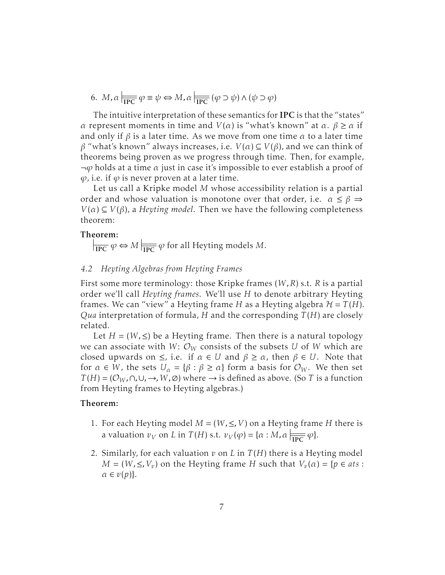6. 
$$
M, \alpha \Big|_{\overline{\text{IPC}}} \varphi \equiv \psi \Leftrightarrow M, \alpha \Big|_{\overline{\text{IPC}}} (\varphi \supset \psi) \wedge (\psi \supset \varphi)
$$

The intuitive interpretation of these semantics for IPC is that the "states" *α* represent moments in time and *V*(*α*) is "what's known" at *α*. *β* ≥ *α* if and only if *β* is a later time. As we move from one time *α* to a later time *β* "what's known" always increases, i.e. *V*( $\alpha$ ) ⊆ *V*( $\beta$ ), and we can think of theorems being proven as we progress through time. Then, for example, ¬*ϕ* holds at a time *α* just in case it's impossible to ever establish a proof of  $\varphi$ , i.e. if  $\varphi$  is never proven at a later time.

Let us call a Kripke model *M* whose accessibility relation is a partial order and whose valuation is monotone over that order, i.e.  $\alpha \leq \beta \Rightarrow$  $V(\alpha) \subseteq V(\beta)$ , a *Heyting model*. Then we have the following completeness theorem:

#### Theorem:

 $\left| \frac{\partial \phi}{\partial P} \varphi \right| \leq M \left| \frac{\partial \phi}{\partial P} \varphi \right|$  for all Heyting models *M*.

#### *4.2 Heyting Algebras from Heyting Frames*

First some more terminology: those Kripke frames (*W ,R*) s.t. *R* is a partial order we'll call *Heyting frames*. We'll use *H* to denote arbitrary Heyting frames. We can "view" a Heyting frame *H* as a Heyting algebra  $H = T(H)$ . *Qua* interpretation of formula, *H* and the corresponding *T* (*H*) are closely related.

Let  $H = (W, \leq)$  be a Heyting frame. Then there is a natural topology we can associate with  $W: \mathcal{O}_W$  consists of the subsets U of W which are closed upwards on  $\leq$ , i.e. if  $\alpha \in U$  and  $\beta \geq \alpha$ , then  $\beta \in U$ . Note that for  $\alpha \in W$ , the sets  $U_{\alpha} = {\beta : \beta \ge \alpha}$  form a basis for  $\mathcal{O}_W$ . We then set *T*(*H*) = ( $\mathcal{O}_W$ , ∩,∪, →, *W*, ∅) where → is defined as above. (So *T* is a function from Heyting frames to Heyting algebras.)

#### Theorem:

- 1. For each Heyting model  $M = (W, \leq, V)$  on a Heyting frame *H* there is a valuation  $v_V$  on *L* in  $T(H)$  s.t.  $v_V(\varphi) = {\alpha : M, \alpha \mid \overline{P} \varphi}.$
- 2. Similarly, for each valuation *v* on *L* in *T* (*H*) there is a Heyting model  $M = (W, \leq, V_v)$  on the Heyting frame *H* such that  $V_v(\alpha) = \{p \in ats : v \in V_v | v \in V_v\}$  $\alpha \in \nu(p)$ .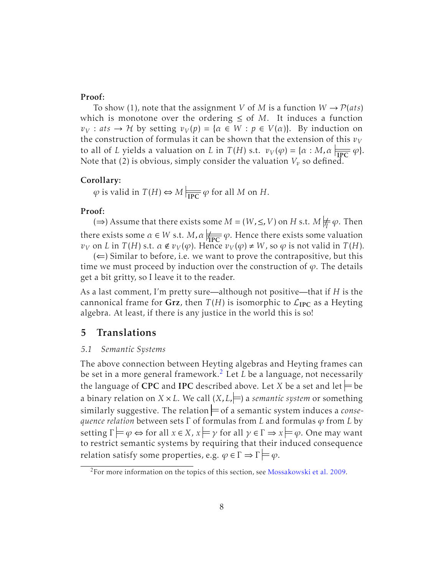#### Proof:

To show (1), note that the assignment *V* of *M* is a function  $W \rightarrow \mathcal{P}(ats)$ which is monotone over the ordering  $\leq$  of M. It induces a function  $v_V : ats \to H$  by setting  $v_V(p) = \{ \alpha \in W : p \in V(\alpha) \}$ . By induction on the construction of formulas it can be shown that the extension of this  $v_V$ to all of *L* yields a valuation on *L* in  $T(H)$  s.t.  $v_V(\varphi) = \{ \alpha : M, \alpha \mid \exists \overline{\text{IPC}}} \varphi \}.$ Note that (2) is obvious, simply consider the valuation  $V_v$  so defined.

#### Corollary:

 $\varphi$  is valid in  $T(H) \Leftrightarrow M \downarrow \Rightarrow \varphi$  for all *M* on *H*.

#### Proof:

(⇒) Assume that there exists some  $M = (W, ≤, V)$  on  $H$  s.t.  $M \not\models_{\overline{I}} \varphi$ . Then there exists some  $\alpha \in W$  s.t.  $M$ ,  $\alpha \not\models_{\mathbf{IPC}} \varphi$ . Hence there exists some valuation *v*<sub>*V*</sub> on *L* in *T*(*H*) s.t.  $\alpha \notin v_V(\varphi)$ . Hence  $v_V(\varphi) \neq W$ , so  $\varphi$  is not valid in *T*(*H*).

 $(\Leftarrow)$  Similar to before, i.e. we want to prove the contrapositive, but this time we must proceed by induction over the construction of  $\varphi$ . The details get a bit gritty, so I leave it to the reader.

As a last comment, I'm pretty sure—although not positive—that if *H* is the cannonical frame for Grz, then  $T(H)$  is isomorphic to  $\mathcal{L}_{\text{IPC}}$  as a Heyting algebra. At least, if there is any justice in the world this is so!

#### 5 Translations

#### *5.1 Semantic Systems*

The above connection between Heyting algebras and Heyting frames can be set in a more general framework.<sup>[2](#page-7-0)</sup> Let *L* be a language, not necessarily the language of CPC and IPC described above. Let *X* be a set and let  $=$  be a binary relation on  $X \times L$ . We call  $(X, L)$  a *semantic system* or something similarly suggestive. The relation  $\models$  of a semantic system induces a *consequence relation* between sets Γ of formulas from *L* and formulas *ϕ* from *L* by setting  $\Gamma \models \varphi \Leftrightarrow$  for all  $x \in X$ ,  $x \models \gamma$  for all  $\gamma \in \Gamma \Rightarrow x \models \varphi$ . One may want to restrict semantic systems by requiring that their induced consequence relation satisfy some properties, e.g.  $\varphi \in \Gamma \Rightarrow \Gamma \models \varphi$ .

<span id="page-7-0"></span><sup>&</sup>lt;sup>2</sup>For more information on the topics of this section, see [Mossakowski et al.](#page-9-3) [2009.](#page-9-3)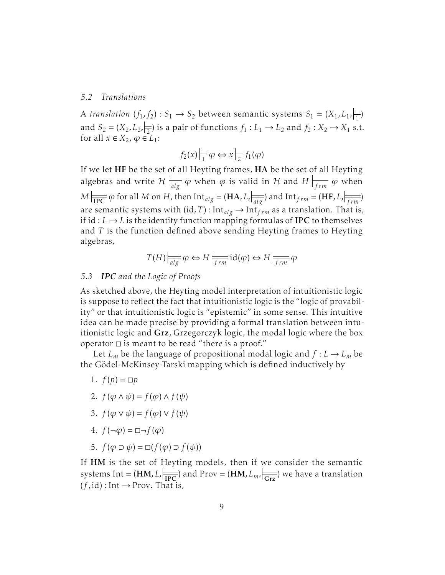#### *5.2 Translations*

A *translation*  $(f_1, f_2)$ :  $S_1 \rightarrow S_2$  between semantic systems  $S_1 = (X_1, L_1, \frac{1}{1})$ and  $S_2 = (X_2, L_2, \frac{1}{2})$  is a pair of functions  $f_1 : L_1 \to L_2$  and  $f_2 : X_2 \to X_1$  s.t. for all  $x \in X_2$ ,  $\varphi \in L_1$ :

$$
f_2(x) \Big| \frac{1}{1} \varphi \Leftrightarrow x \Big| \frac{1}{2} f_1(\varphi)
$$

If we let HF be the set of all Heyting frames, HA be the set of all Heyting algebras and write  $\mathcal{H} \vert_{\overline{alg}} \varphi$  when  $\varphi$  is valid in  $\mathcal{H}$  and  $H \vert_{\overline{f} \vert_{\overline{f} \vert_{\overline{f}}} \varphi$  when  $M\left| \frac{d}{dP} \phi \right|$  for all *M* on *H*, then  $\text{Int}_{alg} = (\text{HA}, L, \frac{d}{dQ}$  and  $\text{Int}_{frm} = (\text{HF}, L, \frac{d}{dG})$ are semantic systems with (id, T):  $Int_{alg} \to Int_{frm}$  as a translation. That is, if id :  $L \rightarrow L$  is the identity function mapping formulas of **IPC** to themselves and *T* is the function defined above sending Heyting frames to Heyting algebras,

$$
T(H)|_{\overline{alg}} \varphi \Leftrightarrow H|_{\overline{frm}} \text{id}(\varphi) \Leftrightarrow H|_{\overline{frm}} \varphi
$$

#### *5.3 IPC and the Logic of Proofs*

As sketched above, the Heyting model interpretation of intuitionistic logic is suppose to reflect the fact that intuitionistic logic is the "logic of provability" or that intuitionistic logic is "epistemic" in some sense. This intuitive idea can be made precise by providing a formal translation between intuitionistic logic and Grz, Grzegorczyk logic, the modal logic where the box operator  $\square$  is meant to be read "there is a proof."

Let  $L_m$  be the language of propositional modal logic and  $f: L \to L_m$  be the Gödel-McKinsey-Tarski mapping which is defined inductively by

- 1.  $f(p) = p$
- 2.  $f(\varphi \wedge \psi) = f(\varphi) \wedge f(\psi)$
- 3.  $f(\varphi \vee \psi) = f(\varphi) \vee f(\psi)$
- $4. f(\neg \varphi) = \Box \neg f(\varphi)$
- 5.  $f(\varphi \supset \psi) = \Box(f(\varphi) \supset f(\psi))$

If HM is the set of Heyting models, then if we consider the semantic systems Int =  $(HM, L, \frac{1}{IPC})$  and Prov =  $(HM, L_m, \frac{1}{|GIZ|})$  we have a translation  $(f, id)$ : Int  $\rightarrow$  Prov. That is,